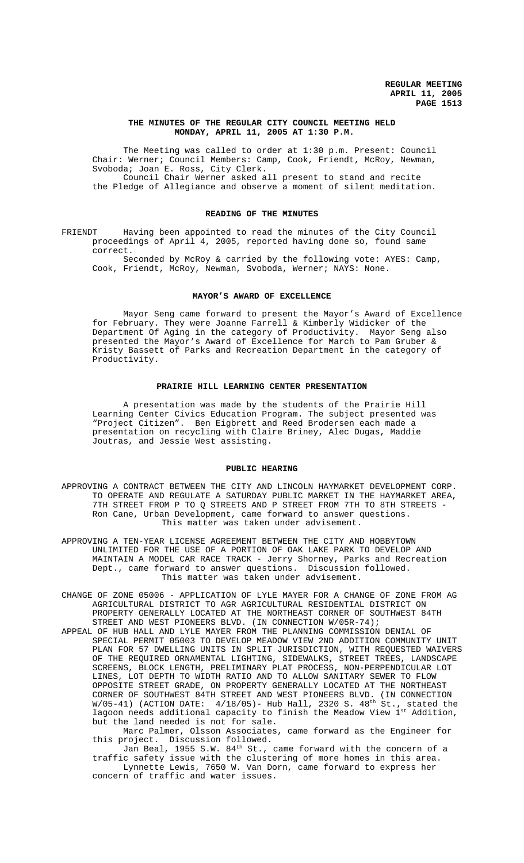### **THE MINUTES OF THE REGULAR CITY COUNCIL MEETING HELD MONDAY, APRIL 11, 2005 AT 1:30 P.M.**

The Meeting was called to order at 1:30 p.m. Present: Council Chair: Werner; Council Members: Camp, Cook, Friendt, McRoy, Newman, Svoboda; Joan E. Ross, City Clerk. Council Chair Werner asked all present to stand and recite the Pledge of Allegiance and observe a moment of silent meditation.

#### **READING OF THE MINUTES**

FRIENDT Having been appointed to read the minutes of the City Council proceedings of April 4, 2005, reported having done so, found same correct.

Seconded by McRoy & carried by the following vote: AYES: Camp, Cook, Friendt, McRoy, Newman, Svoboda, Werner; NAYS: None.

#### **MAYOR'S AWARD OF EXCELLENCE**

Mayor Seng came forward to present the Mayor's Award of Excellence for February. They were Joanne Farrell & Kimberly Widicker of the Department Of Aging in the category of Productivity. Mayor Seng also presented the Mayor's Award of Excellence for March to Pam Gruber & Kristy Bassett of Parks and Recreation Department in the category of Productivity.

#### **PRAIRIE HILL LEARNING CENTER PRESENTATION**

A presentation was made by the students of the Prairie Hill Learning Center Civics Education Program. The subject presented was "Project Citizen". Ben Eigbrett and Reed Brodersen each made a presentation on recycling with Claire Briney, Alec Dugas, Maddie Joutras, and Jessie West assisting.

## **PUBLIC HEARING**

- APPROVING A CONTRACT BETWEEN THE CITY AND LINCOLN HAYMARKET DEVELOPMENT CORP. TO OPERATE AND REGULATE A SATURDAY PUBLIC MARKET IN THE HAYMARKET AREA, 7TH STREET FROM P TO Q STREETS AND P STREET FROM 7TH TO 8TH STREETS - Ron Cane, Urban Development, came forward to answer questions. This matter was taken under advisement.
- APPROVING A TEN-YEAR LICENSE AGREEMENT BETWEEN THE CITY AND HOBBYTOWN UNLIMITED FOR THE USE OF A PORTION OF OAK LAKE PARK TO DEVELOP AND MAINTAIN A MODEL CAR RACE TRACK - Jerry Shorney, Parks and Recreation Dept., came forward to answer questions. Discussion followed. This matter was taken under advisement.
- CHANGE OF ZONE 05006 APPLICATION OF LYLE MAYER FOR A CHANGE OF ZONE FROM AG AGRICULTURAL DISTRICT TO AGR AGRICULTURAL RESIDENTIAL DISTRICT ON PROPERTY GENERALLY LOCATED AT THE NORTHEAST CORNER OF SOUTHWEST 84TH STREET AND WEST PIONEERS BLVD. (IN CONNECTION W/05R-74);
- APPEAL OF HUB HALL AND LYLE MAYER FROM THE PLANNING COMMISSION DENIAL OF SPECIAL PERMIT 05003 TO DEVELOP MEADOW VIEW 2ND ADDITION COMMUNITY UNIT PLAN FOR 57 DWELLING UNITS IN SPLIT JURISDICTION, WITH REQUESTED WAIVERS OF THE REQUIRED ORNAMENTAL LIGHTING, SIDEWALKS, STREET TREES, LANDSCAPE SCREENS, BLOCK LENGTH, PRELIMINARY PLAT PROCESS, NON-PERPENDICULAR LOT LINES, LOT DEPTH TO WIDTH RATIO AND TO ALLOW SANITARY SEWER TO FLOW OPPOSITE STREET GRADE, ON PROPERTY GENERALLY LOCATED AT THE NORTHEAST CORNER OF SOUTHWEST 84TH STREET AND WEST PIONEERS BLVD. (IN CONNECTION W/05-41) (ACTION DATE:  $4/18/05$ )- Hub Hall, 2320 S.  $48^{\text{th}}$  St., stated the lagoon needs additional capacity to finish the Meadow View 1st Addition, but the land needed is not for sale.

Marc Palmer, Olsson Associates, came forward as the Engineer for this project. Discussion followed.

Jan Beal, 1955 S.W. 84<sup>th</sup> St., came forward with the concern of a traffic safety issue with the clustering of more homes in this area. Lynnette Lewis, 7650 W. Van Dorn, came forward to express her concern of traffic and water issues.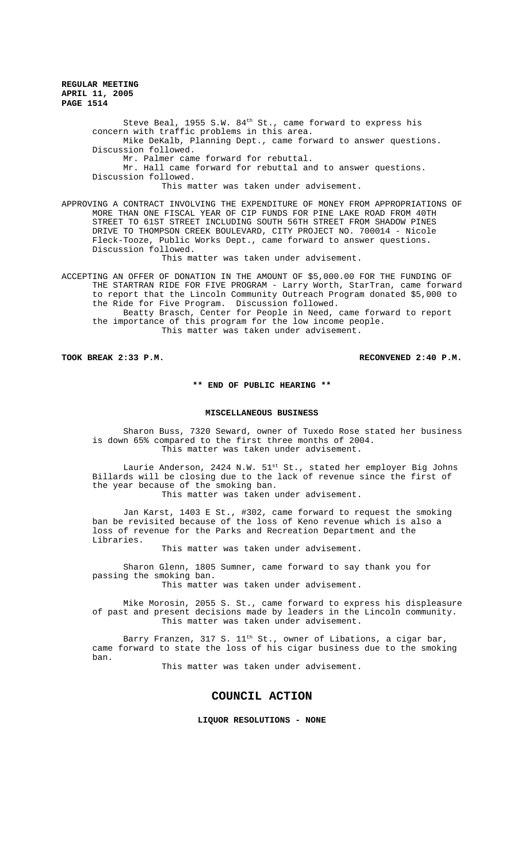> Steve Beal, 1955 S.W.  $84<sup>th</sup>$  St., came forward to express his concern with traffic problems in this area. Mike DeKalb, Planning Dept., came forward to answer questions. Discussion followed.

Mr. Palmer came forward for rebuttal.

Mr. Hall came forward for rebuttal and to answer questions. Discussion followed.

This matter was taken under advisement.

APPROVING A CONTRACT INVOLVING THE EXPENDITURE OF MONEY FROM APPROPRIATIONS OF MORE THAN ONE FISCAL YEAR OF CIP FUNDS FOR PINE LAKE ROAD FROM 40TH STREET TO 61ST STREET INCLUDING SOUTH 56TH STREET FROM SHADOW PINES DRIVE TO THOMPSON CREEK BOULEVARD, CITY PROJECT NO. 700014 - Nicole Fleck-Tooze, Public Works Dept., came forward to answer questions. Discussion followed.

This matter was taken under advisement.

ACCEPTING AN OFFER OF DONATION IN THE AMOUNT OF \$5,000.00 FOR THE FUNDING OF THE STARTRAN RIDE FOR FIVE PROGRAM - Larry Worth, StarTran, came forward to report that the Lincoln Community Outreach Program donated \$5,000 to the Ride for Five Program. Discussion followed. Beatty Brasch, Center for People in Need, came forward to report

the importance of this program for the low income people. This matter was taken under advisement.

**TOOK BREAK 2:33 P.M. RECONVENED 2:40 P.M.**

### **\*\* END OF PUBLIC HEARING \*\***

#### **MISCELLANEOUS BUSINESS**

Sharon Buss, 7320 Seward, owner of Tuxedo Rose stated her business is down 65% compared to the first three months of 2004. This matter was taken under advisement.

Laurie Anderson, 2424 N.W.  $51^{st}$  St., stated her employer Big Johns Billards will be closing due to the lack of revenue since the first of the year because of the smoking ban.

This matter was taken under advisement.

Jan Karst, 1403 E St., #302, came forward to request the smoking ban be revisited because of the loss of Keno revenue which is also a loss of revenue for the Parks and Recreation Department and the Libraries.

This matter was taken under advisement.

Sharon Glenn, 1805 Sumner, came forward to say thank you for passing the smoking ban.

This matter was taken under advisement.

Mike Morosin, 2055 S. St., came forward to express his displeasure of past and present decisions made by leaders in the Lincoln community. This matter was taken under advisement.

Barry Franzen, 317 S. 11<sup>th</sup> St., owner of Libations, a cigar bar, came forward to state the loss of his cigar business due to the smoking ban.

This matter was taken under advisement.

# **COUNCIL ACTION**

**LIQUOR RESOLUTIONS - NONE**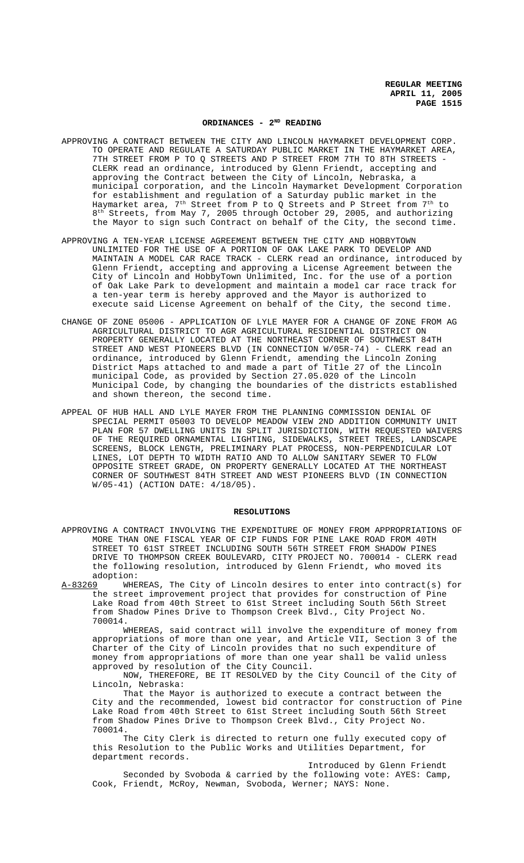# **ORDINANCES - 2ND READING**

- APPROVING A CONTRACT BETWEEN THE CITY AND LINCOLN HAYMARKET DEVELOPMENT CORP. TO OPERATE AND REGULATE A SATURDAY PUBLIC MARKET IN THE HAYMARKET AREA, 7TH STREET FROM P TO Q STREETS AND P STREET FROM 7TH TO 8TH STREETS - CLERK read an ordinance, introduced by Glenn Friendt, accepting and approving the Contract between the City of Lincoln, Nebraska, a municipal corporation, and the Lincoln Haymarket Development Corporation for establishment and regulation of a Saturday public market in the Haymarket area, 7<sup>th</sup> Street from P to Q Streets and P Street from 7<sup>th</sup> to 8<sup>th</sup> Streets, from May 7, 2005 through October 29, 2005, and authorizing the Mayor to sign such Contract on behalf of the City, the second time.
- APPROVING A TEN-YEAR LICENSE AGREEMENT BETWEEN THE CITY AND HOBBYTOWN UNLIMITED FOR THE USE OF A PORTION OF OAK LAKE PARK TO DEVELOP AND MAINTAIN A MODEL CAR RACE TRACK - CLERK read an ordinance, introduced by Glenn Friendt, accepting and approving a License Agreement between the City of Lincoln and HobbyTown Unlimited, Inc. for the use of a portion of Oak Lake Park to development and maintain a model car race track for a ten-year term is hereby approved and the Mayor is authorized to execute said License Agreement on behalf of the City, the second time.
- CHANGE OF ZONE 05006 APPLICATION OF LYLE MAYER FOR A CHANGE OF ZONE FROM AG AGRICULTURAL DISTRICT TO AGR AGRICULTURAL RESIDENTIAL DISTRICT ON PROPERTY GENERALLY LOCATED AT THE NORTHEAST CORNER OF SOUTHWEST 84TH STREET AND WEST PIONEERS BLVD (IN CONNECTION W/05R-74) - CLERK read an ordinance, introduced by Glenn Friendt, amending the Lincoln Zoning District Maps attached to and made a part of Title 27 of the Lincoln municipal Code, as provided by Section 27.05.020 of the Lincoln Municipal Code, by changing the boundaries of the districts established and shown thereon, the second time.
- APPEAL OF HUB HALL AND LYLE MAYER FROM THE PLANNING COMMISSION DENIAL OF SPECIAL PERMIT 05003 TO DEVELOP MEADOW VIEW 2ND ADDITION COMMUNITY UNIT PLAN FOR 57 DWELLING UNITS IN SPLIT JURISDICTION, WITH REQUESTED WAIVERS OF THE REQUIRED ORNAMENTAL LIGHTING, SIDEWALKS, STREET TREES, LANDSCAPE SCREENS, BLOCK LENGTH, PRELIMINARY PLAT PROCESS, NON-PERPENDICULAR LOT LINES, LOT DEPTH TO WIDTH RATIO AND TO ALLOW SANITARY SEWER TO FLOW OPPOSITE STREET GRADE, ON PROPERTY GENERALLY LOCATED AT THE NORTHEAST CORNER OF SOUTHWEST 84TH STREET AND WEST PIONEERS BLVD (IN CONNECTION W/05-41) (ACTION DATE: 4/18/05).

#### **RESOLUTIONS**

- APPROVING A CONTRACT INVOLVING THE EXPENDITURE OF MONEY FROM APPROPRIATIONS OF MORE THAN ONE FISCAL YEAR OF CIP FUNDS FOR PINE LAKE ROAD FROM 40TH STREET TO 61ST STREET INCLUDING SOUTH 56TH STREET FROM SHADOW PINES DRIVE TO THOMPSON CREEK BOULEVARD, CITY PROJECT NO. 700014 - CLERK read the following resolution, introduced by Glenn Friendt, who moved its adoption:<br>A-83269 WHE
- WHEREAS, The City of Lincoln desires to enter into contract(s) for the street improvement project that provides for construction of Pine Lake Road from 40th Street to 61st Street including South 56th Street from Shadow Pines Drive to Thompson Creek Blvd., City Project No. 700014.

WHEREAS, said contract will involve the expenditure of money from appropriations of more than one year, and Article VII, Section 3 of the Charter of the City of Lincoln provides that no such expenditure of money from appropriations of more than one year shall be valid unless approved by resolution of the City Council.

NOW, THEREFORE, BE IT RESOLVED by the City Council of the City of Lincoln, Nebraska:

That the Mayor is authorized to execute a contract between the City and the recommended, lowest bid contractor for construction of Pine Lake Road from 40th Street to 61st Street including South 56th Street from Shadow Pines Drive to Thompson Creek Blvd., City Project No. 700014.

The City Clerk is directed to return one fully executed copy of this Resolution to the Public Works and Utilities Department, for department records.

Introduced by Glenn Friendt Seconded by Svoboda & carried by the following vote: AYES: Camp, Cook, Friendt, McRoy, Newman, Svoboda, Werner; NAYS: None.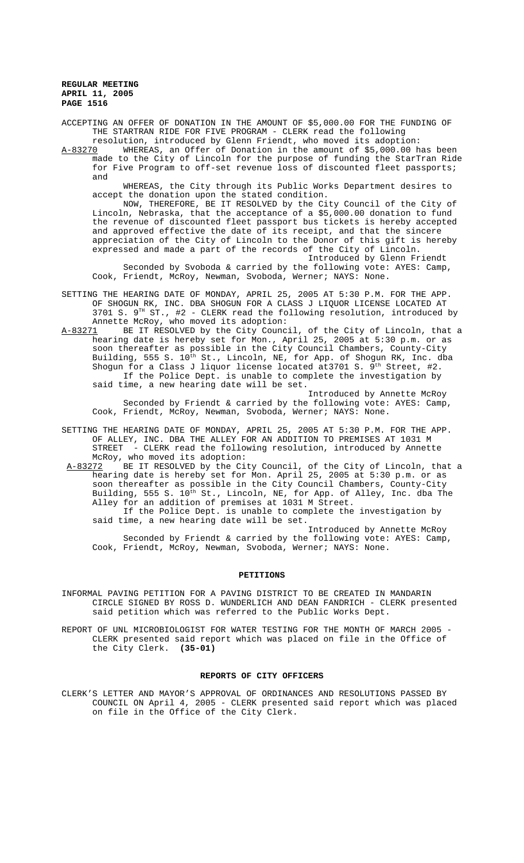ACCEPTING AN OFFER OF DONATION IN THE AMOUNT OF \$5,000.00 FOR THE FUNDING OF THE STARTRAN RIDE FOR FIVE PROGRAM - CLERK read the following

resolution, introduced by Glenn Friendt, who moved its adoption:<br>A-83270 WHEREAS, an Offer of Donation in the amount of \$5,000.00 h WHEREAS, an Offer of Donation in the amount of \$5,000.00 has been made to the City of Lincoln for the purpose of funding the StarTran Ride for Five Program to off-set revenue loss of discounted fleet passports; and

WHEREAS, the City through its Public Works Department desires to accept the donation upon the stated condition.

NOW, THEREFORE, BE IT RESOLVED by the City Council of the City of Lincoln, Nebraska, that the acceptance of a \$5,000.00 donation to fund the revenue of discounted fleet passport bus tickets is hereby accepted and approved effective the date of its receipt, and that the sincere appreciation of the City of Lincoln to the Donor of this gift is hereby expressed and made a part of the records of the City of Lincoln.

Introduced by Glenn Friendt Seconded by Svoboda & carried by the following vote: AYES: Camp, Cook, Friendt, McRoy, Newman, Svoboda, Werner; NAYS: None.

SETTING THE HEARING DATE OF MONDAY, APRIL 25, 2005 AT 5:30 P.M. FOR THE APP. OF SHOGUN RK, INC. DBA SHOGUN FOR A CLASS J LIQUOR LICENSE LOCATED AT  $3701$  S.  $9^{TH}$  ST.,  $\#2$  - CLERK read the following resolution, introduced by Annette McRoy, who moved its adoption:

A-83271 BE IT RESOLVED by the City Council, of the City of Lincoln, that a hearing date is hereby set for Mon., April 25, 2005 at 5:30 p.m. or as soon thereafter as possible in the City Council Chambers, County-City Building, 555 S. 10<sup>th</sup> St., Lincoln, NE, for App. of Shogun RK, Inc. dba Shogun for a Class J liquor license located at 3701 S.  $9^{th}$  Street, #2. If the Police Dept. is unable to complete the investigation by said time, a new hearing date will be set.

Introduced by Annette McRoy Seconded by Friendt & carried by the following vote: AYES: Camp, Cook, Friendt, McRoy, Newman, Svoboda, Werner; NAYS: None.

SETTING THE HEARING DATE OF MONDAY, APRIL 25, 2005 AT 5:30 P.M. FOR THE APP. OF ALLEY, INC. DBA THE ALLEY FOR AN ADDITION TO PREMISES AT 1031 M STREET - CLERK read the following resolution, introduced by Annette McRoy, who moved its adoption:<br>A-83272 BE IT RESOLVED by the Ci

A-83272 BE IT RESOLVED by the City Council, of the City of Lincoln, that a hearing date is hereby set for Mon. April 25, 2005 at 5:30 p.m. or as soon thereafter as possible in the City Council Chambers, County-City Building, 555 S. 10<sup>th</sup> St., Lincoln, NE, for App. of Alley, Inc. dba The Alley for an addition of premises at 1031 M Street. If the Police Dept. is unable to complete the investigation by said time, a new hearing date will be set. Introduced by Annette McRoy

Seconded by Friendt & carried by the following vote: AYES: Camp, Cook, Friendt, McRoy, Newman, Svoboda, Werner; NAYS: None.

#### **PETITIONS**

INFORMAL PAVING PETITION FOR A PAVING DISTRICT TO BE CREATED IN MANDARIN CIRCLE SIGNED BY ROSS D. WUNDERLICH AND DEAN FANDRICH - CLERK presented said petition which was referred to the Public Works Dept.

REPORT OF UNL MICROBIOLOGIST FOR WATER TESTING FOR THE MONTH OF MARCH 2005 -CLERK presented said report which was placed on file in the Office of the City Clerk. **(35-01)**

## **REPORTS OF CITY OFFICERS**

CLERK'S LETTER AND MAYOR'S APPROVAL OF ORDINANCES AND RESOLUTIONS PASSED BY COUNCIL ON April 4, 2005 - CLERK presented said report which was placed on file in the Office of the City Clerk.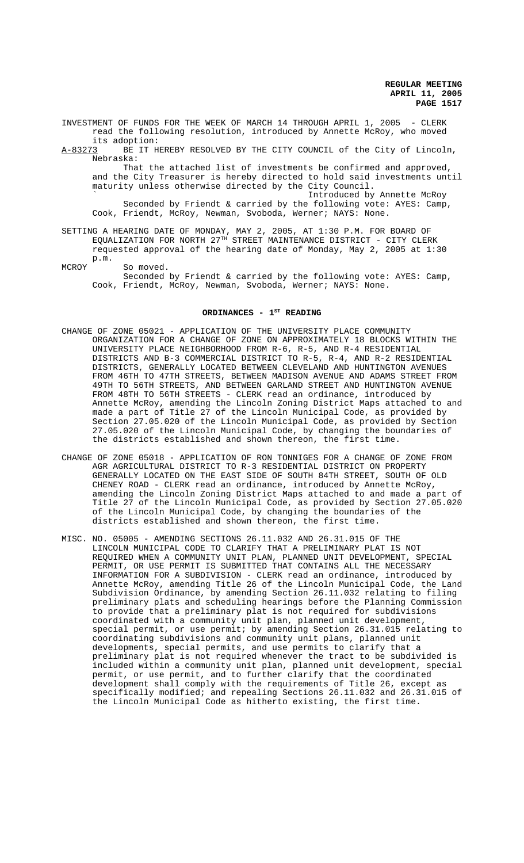INVESTMENT OF FUNDS FOR THE WEEK OF MARCH 14 THROUGH APRIL 1, 2005 - CLERK read the following resolution, introduced by Annette McRoy, who moved

its adoption:<br>A-83273 BE IT H BE IT HEREBY RESOLVED BY THE CITY COUNCIL of the City of Lincoln, Nebraska:

That the attached list of investments be confirmed and approved, and the City Treasurer is hereby directed to hold said investments until maturity unless otherwise directed by the City Council. ` Introduced by Annette McRoy

Seconded by Friendt & carried by the following vote: AYES: Camp, Cook, Friendt, McRoy, Newman, Svoboda, Werner; NAYS: None.

SETTING A HEARING DATE OF MONDAY, MAY 2, 2005, AT 1:30 P.M. FOR BOARD OF EQUALIZATION FOR NORTH  $27^{\text{TH}}$  STREET MAINTENANCE DISTRICT - CITY CLERK requested approval of the hearing date of Monday, May 2, 2005 at 1:30 p.m.

MCROY So moved.

Seconded by Friendt & carried by the following vote: AYES: Camp, Cook, Friendt, McRoy, Newman, Svoboda, Werner; NAYS: None.

# ORDINANCES - 1<sup>ST</sup> READING

- CHANGE OF ZONE 05021 APPLICATION OF THE UNIVERSITY PLACE COMMUNITY ORGANIZATION FOR A CHANGE OF ZONE ON APPROXIMATELY 18 BLOCKS WITHIN THE UNIVERSITY PLACE NEIGHBORHOOD FROM R-6, R-5, AND R-4 RESIDENTIAL DISTRICTS AND B-3 COMMERCIAL DISTRICT TO R-5, R-4, AND R-2 RESIDENTIAL DISTRICTS, GENERALLY LOCATED BETWEEN CLEVELAND AND HUNTINGTON AVENUES FROM 46TH TO 47TH STREETS, BETWEEN MADISON AVENUE AND ADAMS STREET FROM 49TH TO 56TH STREETS, AND BETWEEN GARLAND STREET AND HUNTINGTON AVENUE FROM 48TH TO 56TH STREETS - CLERK read an ordinance, introduced by Annette McRoy, amending the Lincoln Zoning District Maps attached to and made a part of Title 27 of the Lincoln Municipal Code, as provided by Section 27.05.020 of the Lincoln Municipal Code, as provided by Section 27.05.020 of the Lincoln Municipal Code, by changing the boundaries of the districts established and shown thereon, the first time.
- CHANGE OF ZONE 05018 APPLICATION OF RON TONNIGES FOR A CHANGE OF ZONE FROM AGR AGRICULTURAL DISTRICT TO R-3 RESIDENTIAL DISTRICT ON PROPERTY GENERALLY LOCATED ON THE EAST SIDE OF SOUTH 84TH STREET, SOUTH OF OLD CHENEY ROAD - CLERK read an ordinance, introduced by Annette McRoy, amending the Lincoln Zoning District Maps attached to and made a part of Title 27 of the Lincoln Municipal Code, as provided by Section 27.05.020 of the Lincoln Municipal Code, by changing the boundaries of the districts established and shown thereon, the first time.
- MISC. NO. 05005 AMENDING SECTIONS 26.11.032 AND 26.31.015 OF THE LINCOLN MUNICIPAL CODE TO CLARIFY THAT A PRELIMINARY PLAT IS NOT REQUIRED WHEN A COMMUNITY UNIT PLAN, PLANNED UNIT DEVELOPMENT, SPECIAL PERMIT, OR USE PERMIT IS SUBMITTED THAT CONTAINS ALL THE NECESSARY INFORMATION FOR A SUBDIVISION - CLERK read an ordinance, introduced by Annette McRoy, amending Title 26 of the Lincoln Municipal Code, the Land Subdivision Ordinance, by amending Section 26.11.032 relating to filing preliminary plats and scheduling hearings before the Planning Commission to provide that a preliminary plat is not required for subdivisions coordinated with a community unit plan, planned unit development, special permit, or use permit; by amending Section 26.31.015 relating to coordinating subdivisions and community unit plans, planned unit developments, special permits, and use permits to clarify that a preliminary plat is not required whenever the tract to be subdivided is included within a community unit plan, planned unit development, special permit, or use permit, and to further clarify that the coordinated development shall comply with the requirements of Title 26, except as specifically modified; and repealing Sections 26.11.032 and 26.31.015 of the Lincoln Municipal Code as hitherto existing, the first time.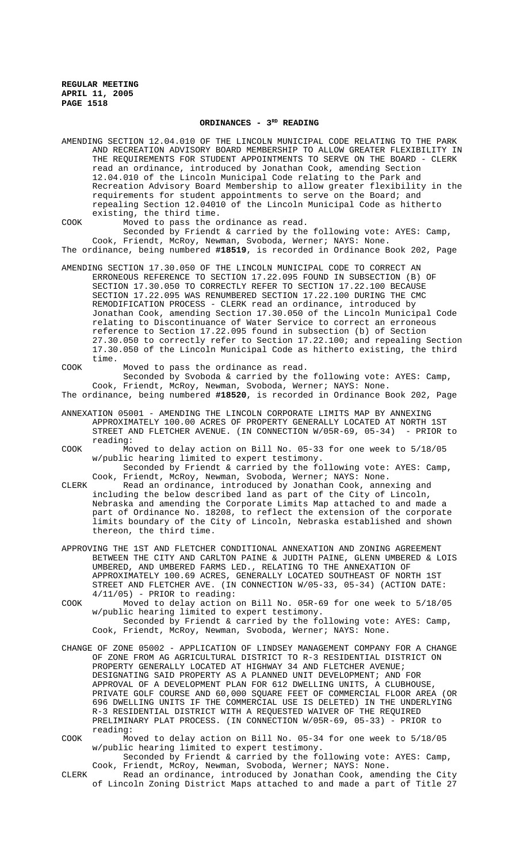#### **ORDINANCES - 3RD READING**

AMENDING SECTION 12.04.010 OF THE LINCOLN MUNICIPAL CODE RELATING TO THE PARK AND RECREATION ADVISORY BOARD MEMBERSHIP TO ALLOW GREATER FLEXIBILITY IN THE REQUIREMENTS FOR STUDENT APPOINTMENTS TO SERVE ON THE BOARD - CLERK read an ordinance, introduced by Jonathan Cook, amending Section 12.04.010 of the Lincoln Municipal Code relating to the Park and Recreation Advisory Board Membership to allow greater flexibility in the requirements for student appointments to serve on the Board; and repealing Section 12.04010 of the Lincoln Municipal Code as hitherto existing, the third time.

COOK Moved to pass the ordinance as read.

Seconded by Friendt & carried by the following vote: AYES: Camp, Cook, Friendt, McRoy, Newman, Svoboda, Werner; NAYS: None. The ordinance, being numbered **#18519**, is recorded in Ordinance Book 202, Page

AMENDING SECTION 17.30.050 OF THE LINCOLN MUNICIPAL CODE TO CORRECT AN ERRONEOUS REFERENCE TO SECTION 17.22.095 FOUND IN SUBSECTION (B) OF SECTION 17.30.050 TO CORRECTLY REFER TO SECTION 17.22.100 BECAUSE SECTION 17.22.095 WAS RENUMBERED SECTION 17.22.100 DURING THE CMC REMODIFICATION PROCESS - CLERK read an ordinance, introduced by Jonathan Cook, amending Section 17.30.050 of the Lincoln Municipal Code relating to Discontinuance of Water Service to correct an erroneous reference to Section 17.22.095 found in subsection (b) of Section 27.30.050 to correctly refer to Section 17.22.100; and repealing Section 17.30.050 of the Lincoln Municipal Code as hitherto existing, the third time.

COOK Moved to pass the ordinance as read. Seconded by Svoboda & carried by the following vote: AYES: Camp, Cook, Friendt, McRoy, Newman, Svoboda, Werner; NAYS: None. The ordinance, being numbered **#18520**, is recorded in Ordinance Book 202, Page

- ANNEXATION 05001 AMENDING THE LINCOLN CORPORATE LIMITS MAP BY ANNEXING APPROXIMATELY 100.00 ACRES OF PROPERTY GENERALLY LOCATED AT NORTH 1ST<br>STREET AND FLETCHER AVENUE. (IN CONNECTION W/05R-69, 05-34) - PRIOR to STREET AND FLETCHER AVENUE. (IN CONNECTION W/05R-69, 05-34) reading:
- COOK Moved to delay action on Bill No. 05-33 for one week to 5/18/05 w/public hearing limited to expert testimony.

Seconded by Friendt & carried by the following vote: AYES: Camp, Cook, Friendt, McRoy, Newman, Svoboda, Werner; NAYS: None.

- CLERK Read an ordinance, introduced by Jonathan Cook, annexing and including the below described land as part of the City of Lincoln, Nebraska and amending the Corporate Limits Map attached to and made a part of Ordinance No. 18208, to reflect the extension of the corporate limits boundary of the City of Lincoln, Nebraska established and shown thereon, the third time.
- APPROVING THE 1ST AND FLETCHER CONDITIONAL ANNEXATION AND ZONING AGREEMENT BETWEEN THE CITY AND CARLTON PAINE & JUDITH PAINE, GLENN UMBERED & LOIS UMBERED, AND UMBERED FARMS LED., RELATING TO THE ANNEXATION OF APPROXIMATELY 100.69 ACRES, GENERALLY LOCATED SOUTHEAST OF NORTH 1ST STREET AND FLETCHER AVE. (IN CONNECTION W/05-33, 05-34) (ACTION DATE: 4/11/05) - PRIOR to reading:
- COOK Moved to delay action on Bill No. 05R-69 for one week to 5/18/05 w/public hearing limited to expert testimony. Seconded by Friendt & carried by the following vote: AYES: Camp, Cook, Friendt, McRoy, Newman, Svoboda, Werner; NAYS: None.
- CHANGE OF ZONE 05002 APPLICATION OF LINDSEY MANAGEMENT COMPANY FOR A CHANGE OF ZONE FROM AG AGRICULTURAL DISTRICT TO R-3 RESIDENTIAL DISTRICT ON PROPERTY GENERALLY LOCATED AT HIGHWAY 34 AND FLETCHER AVENUE; DESIGNATING SAID PROPERTY AS A PLANNED UNIT DEVELOPMENT; AND FOR APPROVAL OF A DEVELOPMENT PLAN FOR 612 DWELLING UNITS, A CLUBHOUSE, PRIVATE GOLF COURSE AND 60,000 SQUARE FEET OF COMMERCIAL FLOOR AREA (OR 696 DWELLING UNITS IF THE COMMERCIAL USE IS DELETED) IN THE UNDERLYING R-3 RESIDENTIAL DISTRICT WITH A REQUESTED WAIVER OF THE REQUIRED PRELIMINARY PLAT PROCESS. (IN CONNECTION W/05R-69, 05-33) - PRIOR to reading:

COOK Moved to delay action on Bill No. 05-34 for one week to 5/18/05 w/public hearing limited to expert testimony.

Seconded by Friendt & carried by the following vote: AYES: Camp, Cook, Friendt, McRoy, Newman, Svoboda, Werner; NAYS: None.

CLERK Read an ordinance, introduced by Jonathan Cook, amending the City of Lincoln Zoning District Maps attached to and made a part of Title 27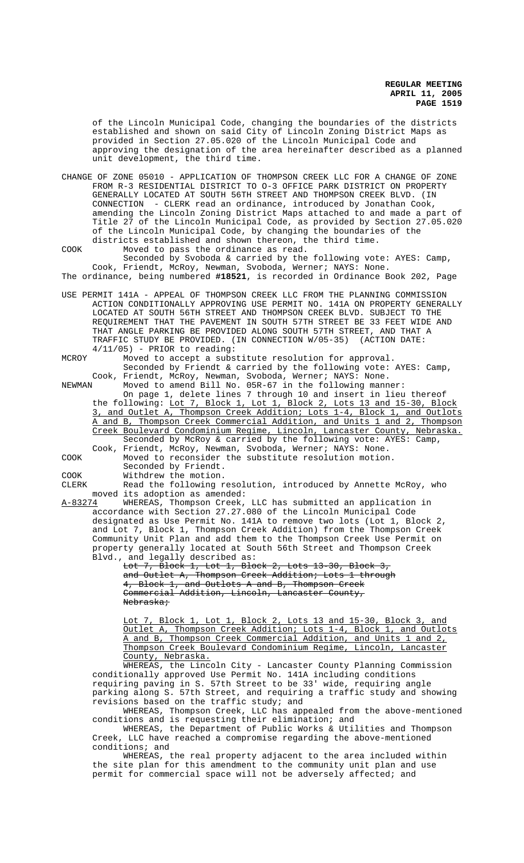of the Lincoln Municipal Code, changing the boundaries of the districts established and shown on said City of Lincoln Zoning District Maps as provided in Section 27.05.020 of the Lincoln Municipal Code and approving the designation of the area hereinafter described as a planned unit development, the third time.

CHANGE OF ZONE 05010 - APPLICATION OF THOMPSON CREEK LLC FOR A CHANGE OF ZONE FROM R-3 RESIDENTIAL DISTRICT TO O-3 OFFICE PARK DISTRICT ON PROPERTY GENERALLY LOCATED AT SOUTH 56TH STREET AND THOMPSON CREEK BLVD. (IN CONNECTION - CLERK read an ordinance, introduced by Jonathan Cook, amending the Lincoln Zoning District Maps attached to and made a part of Title 27 of the Lincoln Municipal Code, as provided by Section 27.05.020 of the Lincoln Municipal Code, by changing the boundaries of the districts established and shown thereon, the third time.

COOK Moved to pass the ordinance as read. Seconded by Svoboda & carried by the following vote: AYES: Camp, Cook, Friendt, McRoy, Newman, Svoboda, Werner; NAYS: None.

The ordinance, being numbered **#18521**, is recorded in Ordinance Book 202, Page

USE PERMIT 141A - APPEAL OF THOMPSON CREEK LLC FROM THE PLANNING COMMISSION ACTION CONDITIONALLY APPROVING USE PERMIT NO. 141A ON PROPERTY GENERALLY LOCATED AT SOUTH 56TH STREET AND THOMPSON CREEK BLVD. SUBJECT TO THE REQUIREMENT THAT THE PAVEMENT IN SOUTH 57TH STREET BE 33 FEET WIDE AND THAT ANGLE PARKING BE PROVIDED ALONG SOUTH 57TH STREET, AND THAT A TRAFFIC STUDY BE PROVIDED. (IN CONNECTION W/05-35) (ACTION DATE:  $4/11/05$ ) - PRIOR to reading:

MCROY Moved to accept a substitute resolution for approval. Seconded by Friendt & carried by the following vote: AYES: Camp, Cook, Friendt, McRoy, Newman, Svoboda, Werner; NAYS: None.

NEWMAN Moved to amend Bill No. 05R-67 in the following manner: On page 1, delete lines 7 through 10 and insert in lieu thereof the following: Lot 7, Block 1, Lot 1, Block 2, Lots 13 and 15-30, Block 3, and Outlet A, Thompson Creek Addition; Lots 1-4, Block 1, and Outlots A and B, Thompson Creek Commercial Addition, and Units 1 and 2, Thompson Creek Boulevard Condominium Regime, Lincoln, Lancaster County, Nebraska. Seconded by McRoy & carried by the following vote: AYES: Camp, Cook, Friendt, McRoy, Newman, Svoboda, Werner; NAYS: None.

COOK Moved to reconsider the substitute resolution motion.

Seconded by Friendt. COOK Withdrew the motion.

CLERK Read the following resolution, introduced by Annette McRoy, who moved its adoption as amended:<br>A-83274 WHEREAS, Thompson Creek,

WHEREAS, Thompson Creek, LLC has submitted an application in accordance with Section 27.27.080 of the Lincoln Municipal Code designated as Use Permit No. 141A to remove two lots (Lot 1, Block 2, and Lot 7, Block 1, Thompson Creek Addition) from the Thompson Creek Community Unit Plan and add them to the Thompson Creek Use Permit on property generally located at South 56th Street and Thompson Creek Blvd., and legally described as:

Lot 7, Block 1, Lot 1, Block 2, Lots 13-30, Block 3, and Outlet A, Thompson Creek Addition; Lots 1 through 4, Block 1, and Outlots A and B, Thompson Creek Commercial Addition, Lincoln, Lancaster County, Nebraska;

Lot 7, Block 1, Lot 1, Block 2, Lots 13 and 15-30, Block 3, and Outlet A, Thompson Creek Addition; Lots 1-4, Block 1, and Outlots A and B, Thompson Creek Commercial Addition, and Units 1 and 2, Thompson Creek Boulevard Condominium Regime, Lincoln, Lancaster County, Nebraska.

WHEREAS, the Lincoln City - Lancaster County Planning Commission conditionally approved Use Permit No. 141A including conditions requiring paving in S. 57th Street to be 33' wide, requiring angle parking along S. 57th Street, and requiring a traffic study and showing revisions based on the traffic study; and

WHEREAS, Thompson Creek, LLC has appealed from the above-mentioned conditions and is requesting their elimination; and

WHEREAS, the Department of Public Works & Utilities and Thompson Creek, LLC have reached a compromise regarding the above-mentioned conditions; and

WHEREAS, the real property adjacent to the area included within the site plan for this amendment to the community unit plan and use permit for commercial space will not be adversely affected; and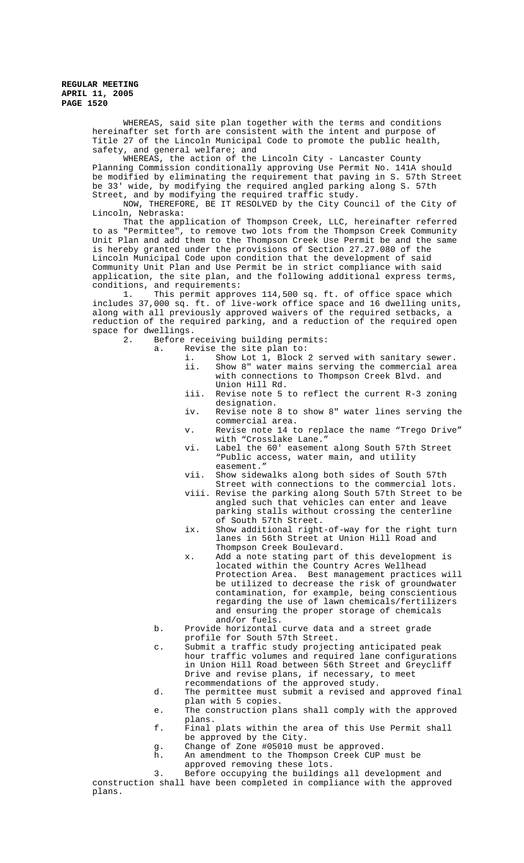> WHEREAS, said site plan together with the terms and conditions hereinafter set forth are consistent with the intent and purpose of Title 27 of the Lincoln Municipal Code to promote the public health, safety, and general welfare; and

WHEREAS, the action of the Lincoln City - Lancaster County Planning Commission conditionally approving Use Permit No. 141A should be modified by eliminating the requirement that paving in S. 57th Street be 33' wide, by modifying the required angled parking along S. 57th Street, and by modifying the required traffic study.

NOW, THEREFORE, BE IT RESOLVED by the City Council of the City of Lincoln, Nebraska:

That the application of Thompson Creek, LLC, hereinafter referred to as "Permittee", to remove two lots from the Thompson Creek Community Unit Plan and add them to the Thompson Creek Use Permit be and the same is hereby granted under the provisions of Section 27.27.080 of the Lincoln Municipal Code upon condition that the development of said Community Unit Plan and Use Permit be in strict compliance with said application, the site plan, and the following additional express terms, conditions, and requirements:

1. This permit approves 114,500 sq. ft. of office space which includes 37,000 sq. ft. of live-work office space and 16 dwelling units, along with all previously approved waivers of the required setbacks, a reduction of the required parking, and a reduction of the required open space for dwellings.<br>2. Before r

- Before receiving building permits:
	- a. Revise the site plan to:
		- i. Show Lot 1, Block 2 served with sanitary sewer. ii. Show 8" water mains serving the commercial area with connections to Thompson Creek Blvd. and Union Hill Rd.
		- iii. Revise note 5 to reflect the current R-3 zoning designation.
		- iv. Revise note 8 to show 8" water lines serving the commercial area.
		- v. Revise note 14 to replace the name "Trego Drive" with "Crosslake Lane."
		- vi. Label the 60' easement along South 57th Street "Public access, water main, and utility easement."
		- vii. Show sidewalks along both sides of South 57th Street with connections to the commercial lots.
		- viii. Revise the parking along South 57th Street to be angled such that vehicles can enter and leave parking stalls without crossing the centerline of South 57th Street.
		- ix. Show additional right-of-way for the right turn lanes in 56th Street at Union Hill Road and Thompson Creek Boulevard.
		- x. Add a note stating part of this development is located within the Country Acres Wellhead Protection Area. Best management practices will be utilized to decrease the risk of groundwater contamination, for example, being conscientious regarding the use of lawn chemicals/fertilizers and ensuring the proper storage of chemicals and/or fuels.
		- b. Provide horizontal curve data and a street grade profile for South 57th Street.
		- c. Submit a traffic study projecting anticipated peak hour traffic volumes and required lane configurations in Union Hill Road between 56th Street and Greycliff Drive and revise plans, if necessary, to meet
		- recommendations of the approved study.
		- d. The permittee must submit a revised and approved final plan with 5 copies.
		- e. The construction plans shall comply with the approved plans.
		- f. Final plats within the area of this Use Permit shall be approved by the City.
		- g. Change of Zone #05010 must be approved.
		- h. An amendment to the Thompson Creek CUP must be approved removing these lots.

3. Before occupying the buildings all development and construction shall have been completed in compliance with the approved plans.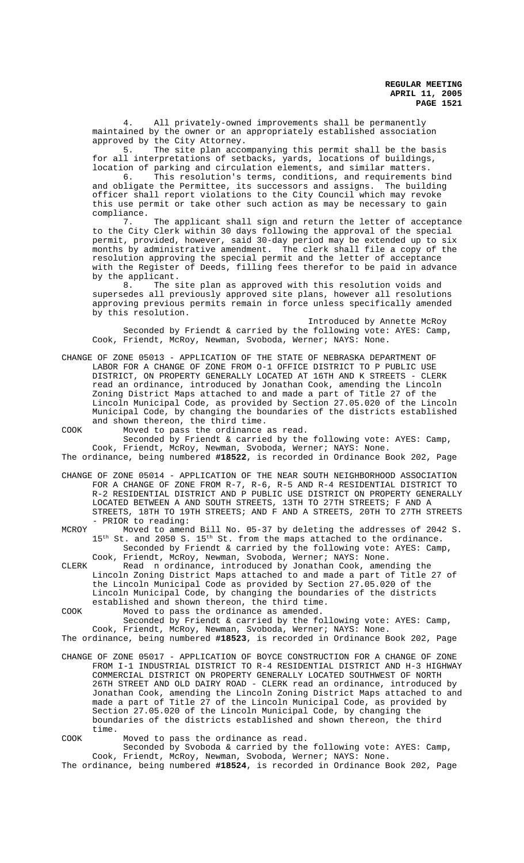4. All privately-owned improvements shall be permanently maintained by the owner or an appropriately established association approved by the City Attorney.

5. The site plan accompanying this permit shall be the basis for all interpretations of setbacks, yards, locations of buildings, location of parking and circulation elements, and similar matters.

6. This resolution's terms, conditions, and requirements bind and obligate the Permittee, its successors and assigns. The building officer shall report violations to the City Council which may revoke this use permit or take other such action as may be necessary to gain compliance.

The applicant shall sign and return the letter of acceptance to the City Clerk within 30 days following the approval of the special permit, provided, however, said 30-day period may be extended up to six months by administrative amendment. The clerk shall file a copy of the resolution approving the special permit and the letter of acceptance with the Register of Deeds, filling fees therefor to be paid in advance by the applicant.

8. The site plan as approved with this resolution voids and supersedes all previously approved site plans, however all resolutions approving previous permits remain in force unless specifically amended by this resolution.

Introduced by Annette McRoy Seconded by Friendt & carried by the following vote: AYES: Camp, Cook, Friendt, McRoy, Newman, Svoboda, Werner; NAYS: None.

CHANGE OF ZONE 05013 - APPLICATION OF THE STATE OF NEBRASKA DEPARTMENT OF LABOR FOR A CHANGE OF ZONE FROM O-1 OFFICE DISTRICT TO P PUBLIC USE DISTRICT, ON PROPERTY GENERALLY LOCATED AT 16TH AND K STREETS - CLERK read an ordinance, introduced by Jonathan Cook, amending the Lincoln Zoning District Maps attached to and made a part of Title 27 of the Lincoln Municipal Code, as provided by Section 27.05.020 of the Lincoln Municipal Code, by changing the boundaries of the districts established and shown thereon, the third time.

COOK Moved to pass the ordinance as read.

Seconded by Friendt & carried by the following vote: AYES: Camp, Cook, Friendt, McRoy, Newman, Svoboda, Werner; NAYS: None.

The ordinance, being numbered **#18522**, is recorded in Ordinance Book 202, Page

CHANGE OF ZONE 05014 - APPLICATION OF THE NEAR SOUTH NEIGHBORHOOD ASSOCIATION FOR A CHANGE OF ZONE FROM R-7, R-6, R-5 AND R-4 RESIDENTIAL DISTRICT TO R-2 RESIDENTIAL DISTRICT AND P PUBLIC USE DISTRICT ON PROPERTY GENERALLY LOCATED BETWEEN A AND SOUTH STREETS, 13TH TO 27TH STREETS; F AND A STREETS, 18TH TO 19TH STREETS; AND F AND A STREETS, 20TH TO 27TH STREETS - PRIOR to reading:

MCROY Moved to amend Bill No. 05-37 by deleting the addresses of 2042 S. 15<sup>th</sup> St. and 2050 S. 15<sup>th</sup> St. from the maps attached to the ordinance. Seconded by Friendt & carried by the following vote: AYES: Camp, Cook, Friendt, McRoy, Newman, Svoboda, Werner; NAYS: None.

CLERK Read n ordinance, introduced by Jonathan Cook, amending the Lincoln Zoning District Maps attached to and made a part of Title 27 of the Lincoln Municipal Code as provided by Section 27.05.020 of the Lincoln Municipal Code, by changing the boundaries of the districts established and shown thereon, the third time.

COOK Moved to pass the ordinance as amended. Seconded by Friendt & carried by the following vote: AYES: Camp,

Cook, Friendt, McRoy, Newman, Svoboda, Werner; NAYS: None. The ordinance, being numbered **#18523**, is recorded in Ordinance Book 202, Page

CHANGE OF ZONE 05017 - APPLICATION OF BOYCE CONSTRUCTION FOR A CHANGE OF ZONE FROM I-1 INDUSTRIAL DISTRICT TO R-4 RESIDENTIAL DISTRICT AND H-3 HIGHWAY COMMERCIAL DISTRICT ON PROPERTY GENERALLY LOCATED SOUTHWEST OF NORTH 26TH STREET AND OLD DAIRY ROAD - CLERK read an ordinance, introduced by Jonathan Cook, amending the Lincoln Zoning District Maps attached to and made a part of Title 27 of the Lincoln Municipal Code, as provided by Section 27.05.020 of the Lincoln Municipal Code, by changing the boundaries of the districts established and shown thereon, the third time.

#### COOK Moved to pass the ordinance as read.

Seconded by Svoboda & carried by the following vote: AYES: Camp, Cook, Friendt, McRoy, Newman, Svoboda, Werner; NAYS: None.

The ordinance, being numbered **#18524**, is recorded in Ordinance Book 202, Page